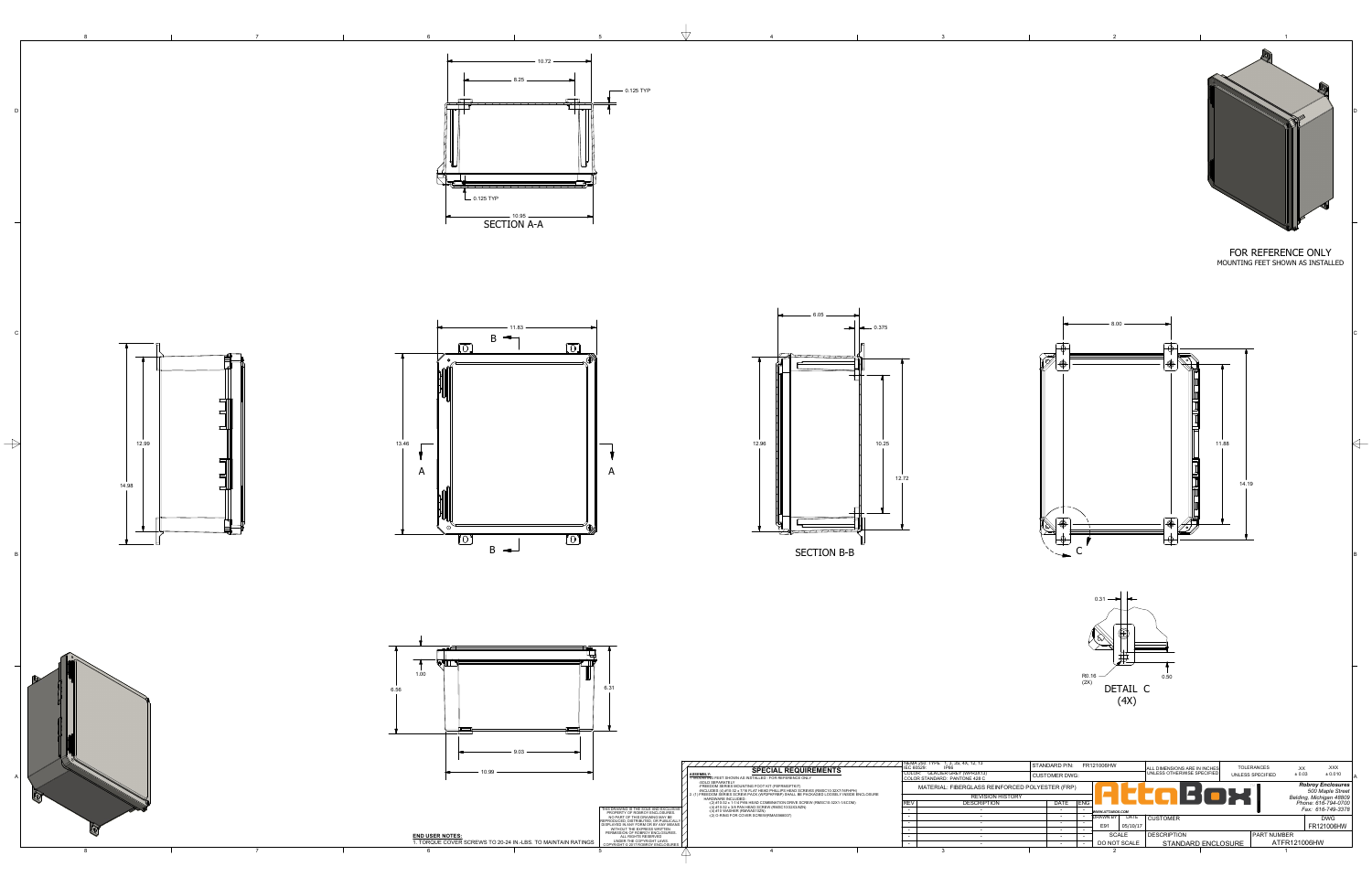